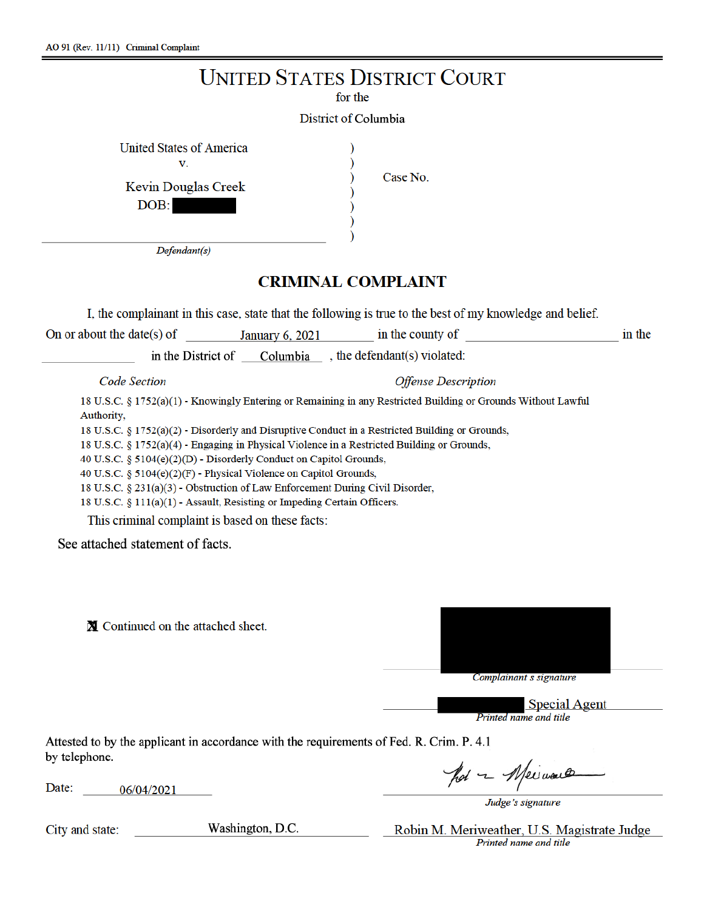| AO 91 (Rev. 11/11) Criminal Complaint                                                                                                                                                                                                                                                                                                                                                                                                                                                                                                                                    |                                                                        |                           |                                                                                                               |        |
|--------------------------------------------------------------------------------------------------------------------------------------------------------------------------------------------------------------------------------------------------------------------------------------------------------------------------------------------------------------------------------------------------------------------------------------------------------------------------------------------------------------------------------------------------------------------------|------------------------------------------------------------------------|---------------------------|---------------------------------------------------------------------------------------------------------------|--------|
|                                                                                                                                                                                                                                                                                                                                                                                                                                                                                                                                                                          | <b>UNITED STATES DISTRICT COURT</b>                                    |                           |                                                                                                               |        |
|                                                                                                                                                                                                                                                                                                                                                                                                                                                                                                                                                                          |                                                                        | for the                   |                                                                                                               |        |
|                                                                                                                                                                                                                                                                                                                                                                                                                                                                                                                                                                          |                                                                        | District of Columbia      |                                                                                                               |        |
| <b>United States of America</b><br>v.<br><b>Kevin Douglas Creek</b><br>DOB:                                                                                                                                                                                                                                                                                                                                                                                                                                                                                              |                                                                        | Case No.                  |                                                                                                               |        |
| Defendant(s)                                                                                                                                                                                                                                                                                                                                                                                                                                                                                                                                                             |                                                                        |                           |                                                                                                               |        |
|                                                                                                                                                                                                                                                                                                                                                                                                                                                                                                                                                                          |                                                                        |                           |                                                                                                               |        |
|                                                                                                                                                                                                                                                                                                                                                                                                                                                                                                                                                                          |                                                                        | <b>CRIMINAL COMPLAINT</b> |                                                                                                               |        |
|                                                                                                                                                                                                                                                                                                                                                                                                                                                                                                                                                                          |                                                                        |                           | I, the complainant in this case, state that the following is true to the best of my knowledge and belief.     |        |
| On or about the date(s) of                                                                                                                                                                                                                                                                                                                                                                                                                                                                                                                                               | January 6, 2021                                                        |                           | in the county of                                                                                              | in the |
|                                                                                                                                                                                                                                                                                                                                                                                                                                                                                                                                                                          | in the District of $\_\_$ Columbia $\_\_$ , the defendant(s) violated: |                           |                                                                                                               |        |
| <b>Code Section</b><br><b>Offense Description</b>                                                                                                                                                                                                                                                                                                                                                                                                                                                                                                                        |                                                                        |                           |                                                                                                               |        |
| Authority,<br>18 U.S.C. § 1752(a)(2) - Disorderly and Disruptive Conduct in a Restricted Building or Grounds,<br>18 U.S.C. § 1752(a)(4) - Engaging in Physical Violence in a Restricted Building or Grounds,<br>40 U.S.C. § 5104(e)(2)(D) - Disorderly Conduct on Capitol Grounds,<br>40 U.S.C. § 5104(e)(2)(F) - Physical Violence on Capitol Grounds,<br>18 U.S.C. § 231(a)(3) - Obstruction of Law Enforcement During Civil Disorder,<br>18 U.S.C. § 111(a)(1) - Assault, Resisting or Impeding Certain Officers.<br>This criminal complaint is based on these facts: |                                                                        |                           | 18 U.S.C. § 1752(a)(1) - Knowingly Entering or Remaining in any Restricted Building or Grounds Without Lawful |        |
| See attached statement of facts.                                                                                                                                                                                                                                                                                                                                                                                                                                                                                                                                         |                                                                        |                           |                                                                                                               |        |
| <b>N</b> Continued on the attached sheet.                                                                                                                                                                                                                                                                                                                                                                                                                                                                                                                                |                                                                        |                           | Complainant s signature<br><b>Special Agent</b><br>Printed name and title                                     |        |
| Attested to by the applicant in accordance with the requirements of Fed. R. Crim. P. 4.1<br>by telephone.                                                                                                                                                                                                                                                                                                                                                                                                                                                                |                                                                        |                           | pot - Mei would                                                                                               |        |
| Date:<br>06/04/2021                                                                                                                                                                                                                                                                                                                                                                                                                                                                                                                                                      |                                                                        |                           |                                                                                                               |        |

Judge's signature

City and state: Washington, D.C.

Robin M. Meriweather, U.S. Magistrate Judge<br>*Printed name and title*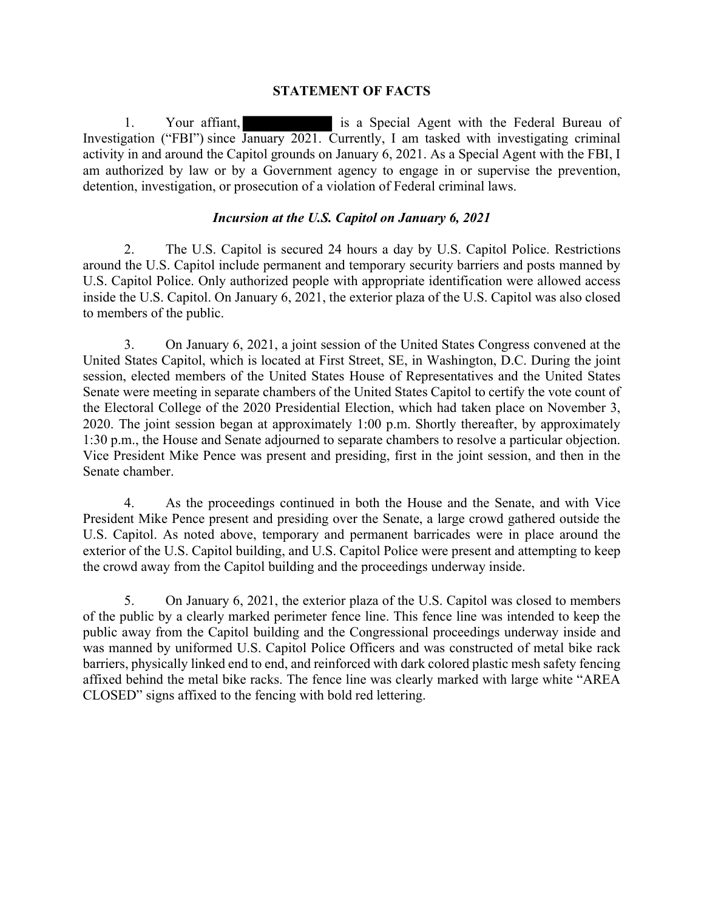## STATEMENT OF FACTS

1. Your affiant, is a Special Agent with the Federal Bureau of Investigation ("FBI") since January 2021. Currently, I am tasked with investigating criminal activity in and around the Capitol grounds on January 6, 2021. As a Special Agent with the FBI, I am authorized by law or by a Government agency to engage in or supervise the prevention, detention, investigation, or prosecution of a violation of Federal criminal laws.

## Incursion at the U.S. Capitol on January 6, 2021

2. The U.S. Capitol is secured 24 hours a day by U.S. Capitol Police. Restrictions around the U.S. Capitol include permanent and temporary security barriers and posts manned by U.S. Capitol Police. Only authorized people with appropriate identification were allowed access inside the U.S. Capitol. On January 6, 2021, the exterior plaza of the U.S. Capitol was also closed to members of the public.

3. On January 6, 2021, a joint session of the United States Congress convened at the United States Capitol, which is located at First Street, SE, in Washington, D.C. During the joint session, elected members of the United States House of Representatives and the United States Senate were meeting in separate chambers of the United States Capitol to certify the vote count of the Electoral College of the 2020 Presidential Election, which had taken place on November 3, 2020. The joint session began at approximately 1:00 p.m. Shortly thereafter, by approximately 1:30 p.m., the House and Senate adjourned to separate chambers to resolve a particular objection. Vice President Mike Pence was present and presiding, first in the joint session, and then in the Senate chamber. **EXECT** 1. The U.S. Capitol on January 6, 2021<br>
2. The U.S. Capitol include permanent and temporary security barriers and posts manned by<br>
pitch Police. Only authorized people with appropriate identification were allowed

President Mike Pence present and presiding over the Senate, a large crowd gathered outside the U.S. Capitol. As noted above, temporary and permanent barricades were in place around the exterior of the U.S. Capitol building, and U.S. Capitol Police were present and attempting to keep the crowd away from the Capitol building and the proceedings underway inside.

5. On January 6, 2021, the exterior plaza of the U.S. Capitol was closed to members of the public by a clearly marked perimeter fence line. This fence line was intended to keep the public away from the Capitol building and the Congressional proceedings underway inside and was manned by uniformed U.S. Capitol Police Officers and was constructed of metal bike rack barriers, physically linked end to end, and reinforced with dark colored plastic mesh safety fencing affixed behind the metal bike racks. The fence line was clearly marked with large white "AREA CLOSED" signs affixed to the fencing with bold red lettering.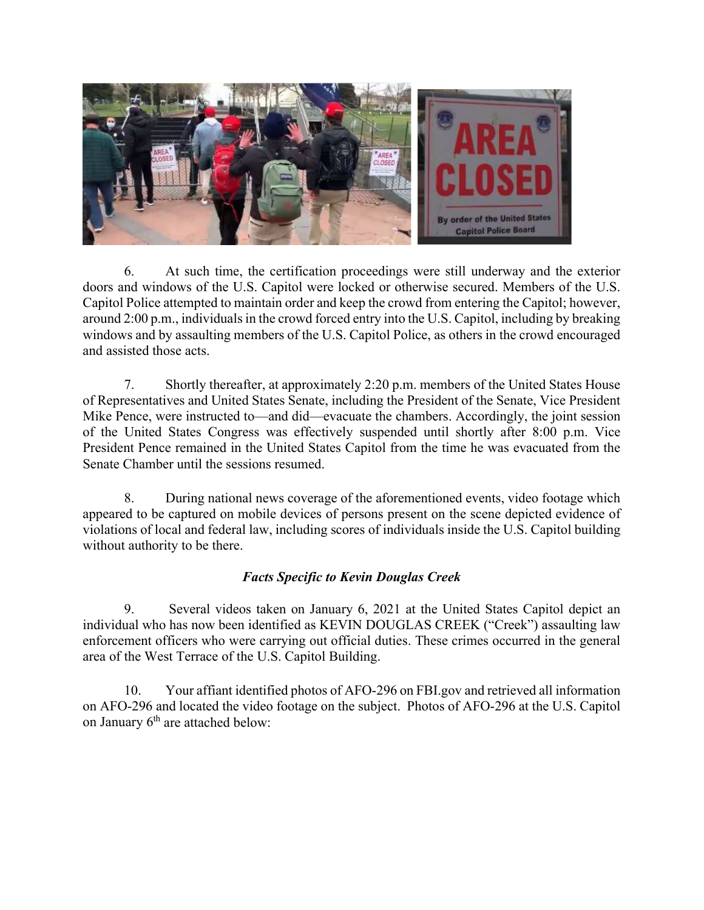

doors and windows of the U.S. Capitol were locked or otherwise secured. Members of the U.S. Capitol Police attempted to maintain order and keep the crowd from entering the Capitol; however, around 2:00 p.m., individuals in the crowd forced entry into the U.S. Capitol, including by breaking windows and by assaulting members of the U.S. Capitol Police, as others in the crowd encouraged and assisted those acts.

of Representatives and United States Senate, including the President of the Senate, Vice President Mike Pence, were instructed to—and did—evacuate the chambers. Accordingly, the joint session of the United States Congress was effectively suspended until shortly after 8:00 p.m. Vice President Pence remained in the United States Capitol from the time he was evacuated from the Senate Chamber until the sessions resumed. esentatives and United States Senate, including the President of the Senate, Vice President<br>ence, were instructed to—and dd—ewarate the chambers. Accordingly, the joint assion<br>United States Congress was effectively suspend

8. During national news coverage of the aforementioned events, video footage which appeared to be captured on mobile devices of persons present on the scene depicted evidence of violations of local and federal law, including scores of individuals inside the U.S. Capitol building without authority to be there.

## Facts Specific to Kevin Douglas Creek

9. Several videos taken on January 6, 2021 at the United States Capitol depict an individual who has now been identified as KEVIN DOUGLAS CREEK ("Creek") assaulting law enforcement officers who were carrying out official duties. These crimes occurred in the general area of the West Terrace of the U.S. Capitol Building.

on AFO-296 and located the video footage on the subject. Photos of AFO-296 at the U.S. Capitol on January  $6<sup>th</sup>$  are attached below: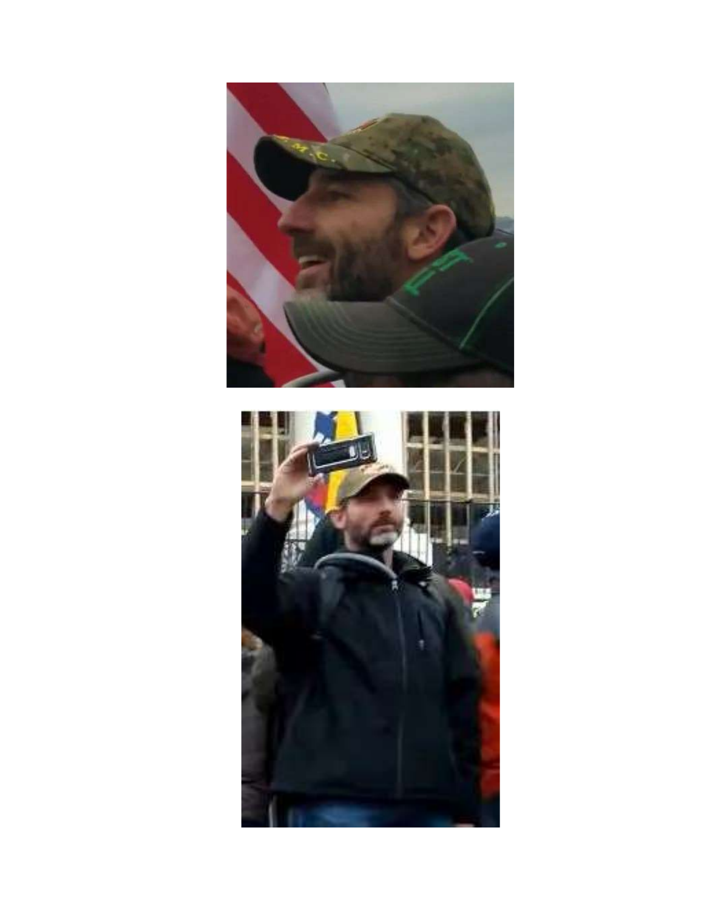

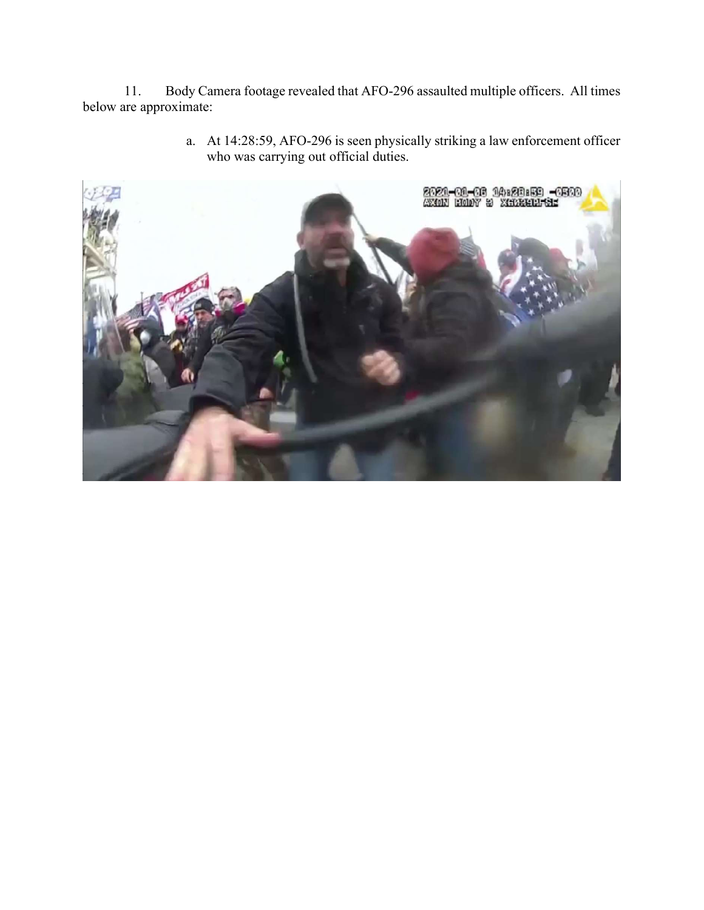11. Body Camera footage revealed that AFO-296 assaulted multiple officers. All times<br>the approximate:<br>a. At 14:28:59, AFO-296 is seen physically striking a law enforcement officer<br>who was carrying out official duties. below are approximate:

- 2020–00–08 14:28:59 –0500<br>AMIN HINY & MARKHIFSE
- a. At 14:28:59, AFO-296 is seen physically striking a law enforcement officer who was carrying out official duties.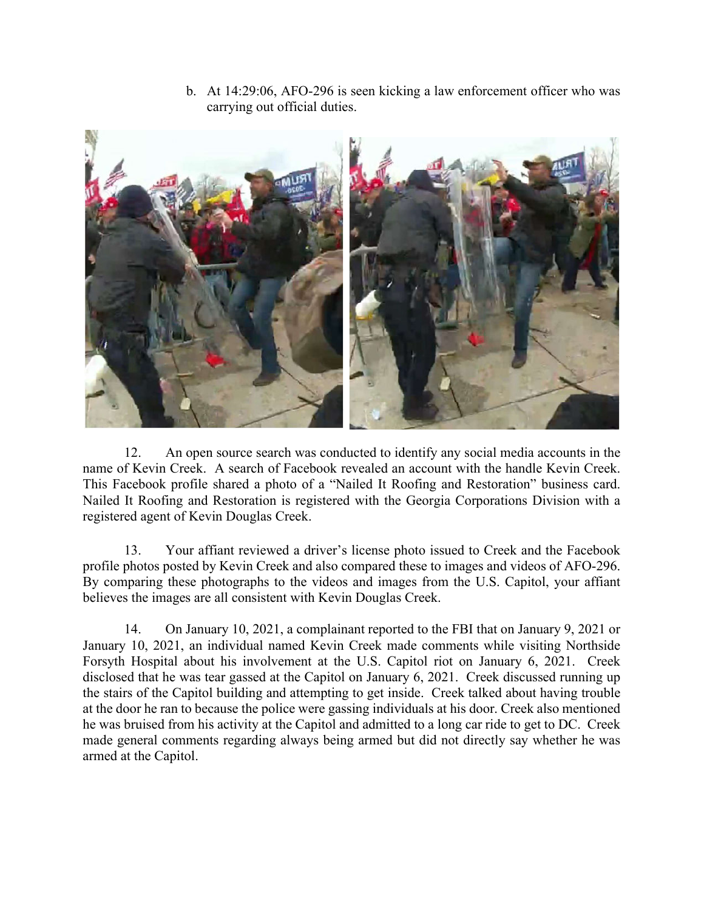carrying out official duties.



 12. An open source search was conducted to identify any social media accounts in the name of Kevin Creek. A search of Facebook revealed an account with the handle Kevin Creek. This Facebook profile shared a photo of a "Nailed It Roofing and Restoration" business card. Nailed It Roofing and Restoration is registered with the Georgia Corporations Division with a registered agent of Kevin Douglas Creek.

13. Your affiant reviewed a driver's license photo issued to Creek and the Facebook profile photos posted by Kevin Creek and also compared these to images and videos of AFO-296. By comparing these photographs to the videos and images from the U.S. Capitol, your affiant believes the images are all consistent with Kevin Douglas Creek.

14. On January 10, 2021, a complainant reported to the FBI that on January 9, 2021 or January 10, 2021, an individual named Kevin Creek made comments while visiting Northside Forsyth Hospital about his involvement at the U.S. Capitol riot on January 6, 2021. Creek disclosed that he was tear gassed at the Capitol on January 6, 2021. Creek discussed running up the stairs of the Capitol building and attempting to get inside. Creek talked about having trouble at the door he ran to because the police were gassing individuals at his door. Creek also mentioned he was bruised from his activity at the Capitol and admitted to a long car ride to get to DC. Creek made general comments regarding always being armed but did not directly say whether he was armed at the Capitol.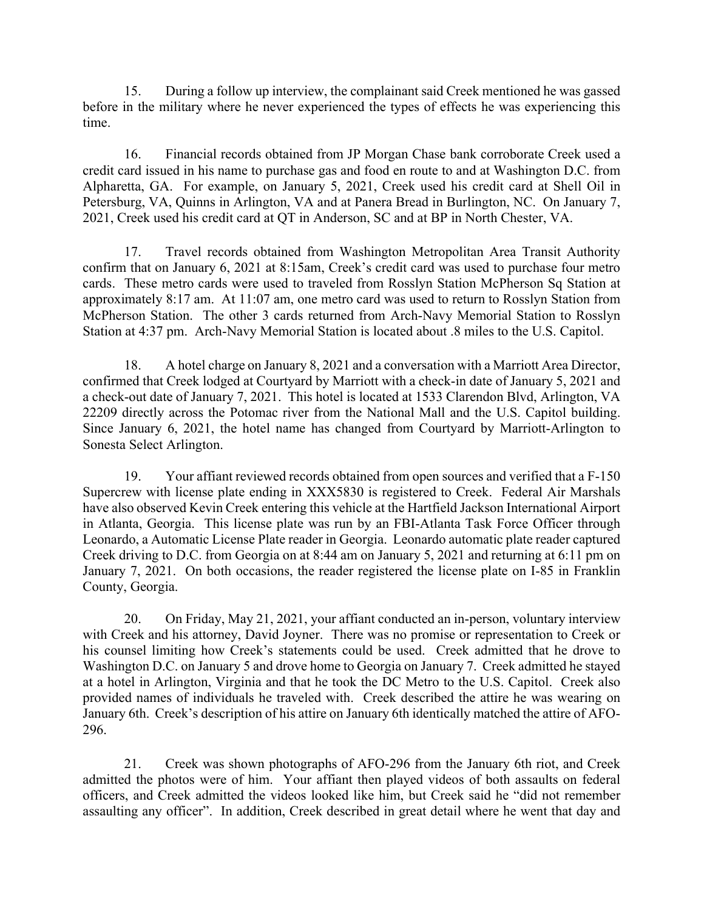15. During a follow up interview, the complainant said Creek mentioned he was gassed<br>in the military where he never experienced the types of effects he was experiencing this<br>16. Financial records obtained from JP Morgan Ch before in the military where he never experienced the types of effects he was experiencing this time.

15. During a follow up interview, the complainant said Creek mentioned he was gassed<br>in the military where he never experienced the types of effects he was experiencing this<br>16. Financial records obtained from JP Morgan Ch credit card issued in his name to purchase gas and food en route to and at Washington D.C. from Alpharetta, GA. For example, on January 5, 2021, Creek used his credit card at Shell Oil in Petersburg, VA, Quinns in Arlington, VA and at Panera Bread in Burlington, NC. On January 7, 2021, Creek used his credit card at QT in Anderson, SC and at BP in North Chester, VA.

15. During a follow up interview, the complainant said Creek mentioned he was gassed<br>in the military where he never experienced the types of effects the was experiencing this<br>16. Financial records obtained from JP Morgan C confirm that on January 6, 2021 at 8:15am, Creek's credit card was used to purchase four metro cards. These metro cards were used to traveled from Rosslyn Station McPherson Sq Station at approximately 8:17 am. At 11:07 am, one metro card was used to return to Rosslyn Station from 15. During a follow up interview, the complainant said Creek mentioned he was gassed<br>before in the military where he never experienced the types of effects he was experiencing this<br>time.<br>
16. Financial records obtained fr Station at 4:37 pm. Arch-Navy Memorial Station is located about .8 miles to the U.S. Capitol.

18. A hotel charge on January 8, 2021 and a conversation with a Marriott Area Director, confirmed that Creek lodged at Courtyard by Marriott with a check-in date of January 5, 2021 and a check-out date of January 7, 2021. This hotel is located at 1533 Clarendon Blvd, Arlington, VA 22209 directly across the Potomac river from the National Mall and the U.S. Capitol building. Since January 6, 2021, the hotel name has changed from Courtyard by Marriott-Arlington to Sonesta Select Arlington.

19. Your affiant reviewed records obtained from open sources and verified that a F-150 Supercrew with license plate ending in XXX5830 is registered to Creek. Federal Air Marshals have also observed Kevin Creek entering this vehicle at the Hartfield Jackson International Airport in Atlanta, Georgia. This license plate was run by an FBI-Atlanta Task Force Officer through Leonardo, a Automatic License Plate reader in Georgia. Leonardo automatic plate reader captured Creek driving to D.C. from Georgia on at 8:44 am on January 5, 2021 and returning at 6:11 pm on January 7, 2021. On both occasions, the reader registered the license plate on I-85 in Franklin County, Georgia.

20. On Friday, May 21, 2021, your affiant conducted an in-person, voluntary interview with Creek and his attorney, David Joyner. There was no promise or representation to Creek or his counsel limiting how Creek's statements could be used. Creek admitted that he drove to Washington D.C. on January 5 and drove home to Georgia on January 7. Creek admitted he stayed at a hotel in Arlington, Virginia and that he took the DC Metro to the U.S. Capitol. Creek also provided names of individuals he traveled with. Creek described the attire he was wearing on January 6th. Creek's description of his attire on January 6th identically matched the attire of AFO-296.

21. Creek was shown photographs of AFO-296 from the January 6th riot, and Creek admitted the photos were of him. Your affiant then played videos of both assaults on federal officers, and Creek admitted the videos looked like him, but Creek said he "did not remember assaulting any officer". In addition, Creek described in great detail where he went that day and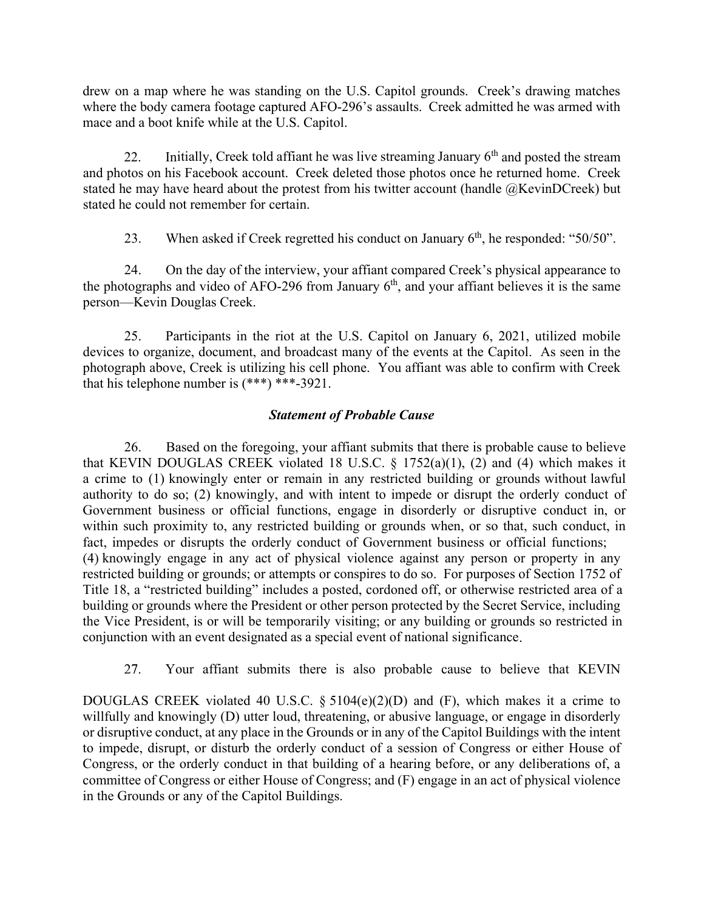drew on a map where he was standing on the U.S. Capitol grounds. Creek's drawing matches where the body camera footage captured AFO-296's assaults. Creek admitted he was armed with mace and a boot knife while at the U.S. Capitol.

22. Initially, Creek told affiant he was standing on the U.S. Capitol grounds. Creek's drawing matches<br>the body camera footage captured AFO-296's assaults. Creek admitted he was armed with<br>da boot knife while at the U.S. and photos on his Facebook account. Creek deleted those photos once he returned home. Creek stated he may have he was standing on the U.S. Capitol grounds. Creek's drawing matches<br>where the body camera footage captured AFO-296's assaults. Creek admitted he was armed with<br>mace and a boot knife while at the U.S. Ca drew on a map where he was standing on the U.S. Capitol grounds. Creek's drawhere the body camera footage captured AFO-296's assaults. Creek admitted he was mace and a boot knife while at the U.S. Capitol.<br>22. Initially, 23. When asked if Creek regretted his conduct on January 6<sup>th</sup>, he responded he body camera footage captured AFO-296's assaults. Creek admitted he was armed with da boot knife while at the U.S. Capitol.<br>
22. Initially, Cr 24. On the day of the interview, your affiant compared Creek's drawing matches<br>22. Initially, Creek told affiant he was live streaming January  $6^{\text{th}}$  and posted the stream<br>22. Initially, Creek told affiant he was live 26. The results in the results in the U.S. Capitol grounds. Creek's drawing matches<br>
22. Initially, Creck told affiant he was live streaming January 6<sup>th</sup> and posted the stream<br>
22. Initially, Creck told affiant he was li

the photographs and video of AFO-296 from January  $6<sup>th</sup>$ , and your affiant believes it is the same person—Kevin Douglas Creek.

devices to organize, document, and broadcast many of the events at the Capitol. As seen in the photograph above, Creek is utilizing his cell phone. You affiant was able to confirm with Creek that his telephone number is (\*\*\*) \*\*\*-3921.

## Statement of Probable Cause

22. Initially, Creek told affiant he was live streaming January  $6^{\text{th}}$  and posted the stream<br>toso on his Facebook account. Creek deneted those photos once he returned home. Creek<br>that is Facebook account. Creek deleted that KEVIN DOUGLAS CREEK violated 18 U.S.C. § 1752(a)(1), (2) and (4) which makes it a crime to (1) knowingly enter or remain in any restricted building or grounds without lawful authority to do so; (2) knowingly, and with intent to impede or disrupt the orderly conduct of Government business or official functions, engage in disorderly or disruptive conduct in, or within such proximity to, any restricted building or grounds when, or so that, such conduct, in fact, impedes or disrupts the orderly conduct of Government business or official functions; knowingly engage in any act of physical violence against any person or property in any restricted building or grounds; or attempts or conspires to do so. For purposes of Section 1752 of Title 18, a "restricted building" includes a posted, cordoned off, or otherwise restricted area of a building or grounds where the President or other person protected by the Secret Service, including the Vice President, is or will be temporarily visiting; or any building or grounds so restricted in conjunction with an event designated as a special event of national significance 26. Based on the foregoing, your affiant submits that there is probable cause to believe<br>that KEVIN DOUGLAS CREEX violated 18 U.S.C. § 1752(a)(1), (2) and (4) which makes it<br>a crime to (1) knowingly enter or remain in any **Example 10** and the matrix of the constraint in the procedure of constraints or either the of Congress or official functions, engage in disorderly or disruptive conduct in or Government business or official functions, en

Your affiant submits there is also probable cause to believe that KEVIN

DOUGLAS CREEK violated 40 U.S.C.  $\S 5104(e)(2)(D)$  and (F), which makes it a crime to willfully and knowingly (D) utter loud, threatening, or abusive language, or engage in disorderly to impede, disrupt, or disturb the orderly conduct of a session of Congress or either House of Congress, or the orderly conduct in that building of a hearing before, or any deliberations of, a in the Grounds or any of the Capitol Buildings.